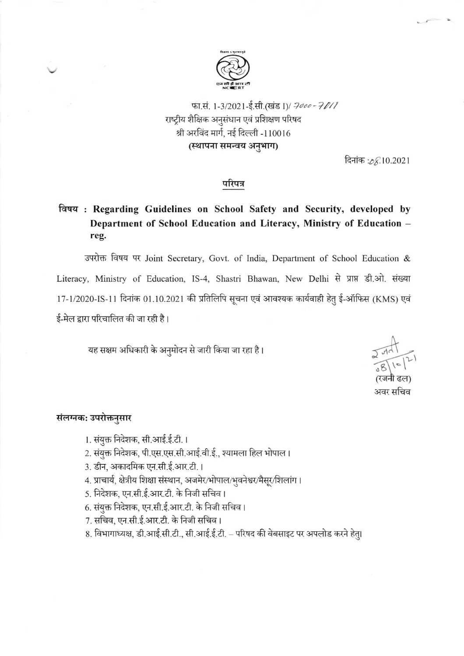

फा.सं. 1-3/2021-ई.सी.(खंड I)/ 7000-7011 राष्ट्रीय शैक्षिक अनुसंधान एवं प्रशिक्षण परिषद श्री अरविंद मार्ग, नई दिल्ली -110016 (स्थापना समन्वय अनुभाग)

दिनांक : 08.10.2021

#### परिपत्र

# विषय: Regarding Guidelines on School Safety and Security, developed by Department of School Education and Literacy, Ministry of Education reg.

उपरोक्त विषय पर Joint Secretary, Govt. of India, Department of School Education & Literacy, Ministry of Education, IS-4, Shastri Bhawan, New Delhi से प्राप्त डी.ओ. संख्या 17-1/2020-IS-11 दिनांक 01.10.2021 की प्रतिलिपि सूचना एवं आवश्यक कार्यवाही हेतु ई-ऑफिस (KMS) एवं ई-मेल द्वारा परिचालित की जा रही है।

यह सक्षम अधिकारी के अनुमोदन से जारी किया जा रहा है।

अवर सचिव

### संलग्नक: उपरोक्तनुसार

- 1. संयुक्त निदेशक, सी.आई.ई.टी.।
- 2. संयुक्त निदेशक, पी.एस.एस.सी.आई.वी.ई., श्यामला हिल भोपाल।
- 3. डीन, अकादमिक एन.सी.ई.आर.टी.।
- 4. प्राचार्य, क्षेत्रीय शिक्षा संस्थान, अजमेर/भोपाल/भुवनेश्वर/मैसूर/शिलांग।
- 5. निदेशक, एन.सी.ई.आर.टी. के निजी सचिव।
- 6. संयुक्त निदेशक, एन.सी.ई.आर.टी. के निजी सचिव।
- 7. सचिव, एन.सी.ई.आर.टी. के निजी सचिव।
- 8. विभागाध्यक्ष, डी.आई.सी.टी., सी.आई.ई.टी. परिषद की वेबसाइट पर अपलोड करने हेतु।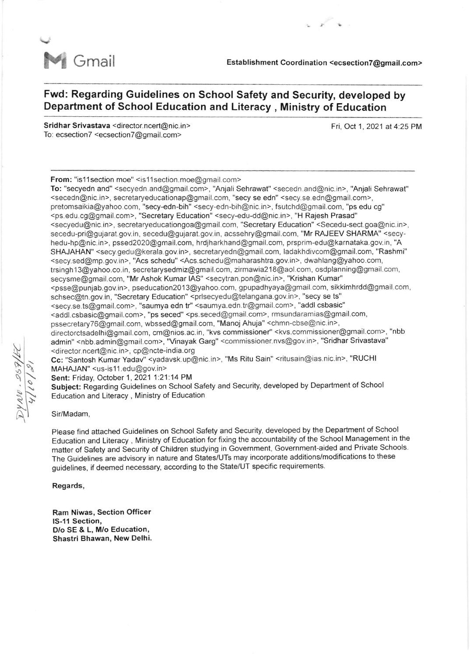

 $\sqrt{2}$ 

## Fwd: Regarding Guidelines on School Safety and Security, developed by Department of School Education and Literacy , Ministry of Education

Sridhar Srivastava <director.ncert@nic.in> To: ecsection7 <ecsection7@gmail.com>

Fri, Oct 1, 2021 at 4:25 PM

From: "is11 section moe" <is11 section.moe@gmail.com>

To: "secyedn and" <secyedn.and@gmail.com>, "Anjali Sehrawat" <secedn.and@nic. in>, "Anjali Sehrawat" <secedn@nic.in>, secretaryeducationap@gmail.com, "secy se edn" <secy.se edn@gmail.com>, pretomsaikia@yahoo.com, "secy-edn-bih" <secy-edn-bih@nic.in>, fsutchd@gmail.com, "ps edu cg" <ps.edu.ca@gmail.com>, "Secretary Educalion" <secy-edu-dd@nic.in>, "H Rajesh Prasad" <secyedu@nic.in>, secretaryeducationgoa@gmail.com, "Secretary Education" <Secedu-sect.goa@nic.in>, secedu-pri@gujarat.gov. in, secedu@gujarat.gov. in, acssehry@gmail.com, "Mr RAJEEV SHARMA" <secyhedu-hp@nic.in>, pssed2020@gmail.com, hrdjharkhand@gmail.com, prsprim-edu@karnataka.gov.in, "A SHAJAHAN" <secy.gedu@kerala.gov. in>, secretaryedn@gmail.com, ladakhdivcom@gmail.com, "Rashmi" <secy.sed@mp.gov.in>, "Acs schedu" <Acs.schedu@maharashtra.gov.in>, dwahlang@yahoo.com, trsingh 13@yahoo.co. in, secretarysedmiz@gmail.com, zirmawia2l S@aol.com, osdplanning@gmail.com, secysme@gmail.com, "Mr Ashok Kumar IAS" <secytran.pon@nic.in>, "Krishan Kumar" <psse@punjab.gov in>, pseducation20l3@yahoo.com, gpupadhyaya@gmail com, sikkimhrdd@gmail.com, schsec@tn.gov.in, "Secretary Education" <prlsecyedu@telangana.gov.in>, "secy se ts" <secy.se.ts@gmail.com>, "saumya edn tr" <saumya.edn.tr@gmail.com>, "addl csbasic" <addl.csbasic@gmail.com>, "ps seced" <ps.seced@gmail.com>, rmsundaramias@gmail.com, pssecretary76@gmail.com, wbssed@gmail.com, "Manoj Ahuja" <chmn-cbse@nic.in>, directorctsadelhi@gmail.com, cm@nios.ac.in, "kvs commissioner" <kvs.commissioner@gmail.com>, "nbb admin" <nbb.admin@gmail.com>, "Vinayak Garg" <commissioner.nvs@gov.in>, "Sridhar Srivastava" <director. ncert@nic.in>, cp@ncte-india.org Cc: "santosh Kumar Yadav" <yadavsk. up@nic. in>, "Ms Ritu Sain" <ritusain@ias nic.in>, "RUCHI MAHAJAN" <us-is11.edu@gov.in> Sent: Friday, October 1, 2021 1:21.14 PM

Subject: Regarding Guidelines on School Safety and Security, developed by Department of School Education and Literacy , Ministry of Education

Sir/Madam,

please find attached Guidelines on School Safety and Security, developed by the Department of School Education and Literacy , Ministry of Education for fixing the accountability of the School Management in ihe matter of Safety and Security of Children studying in Government, Government-aided and Private Schools. The Guidelines are advisory in nature and States/UTs may incorporate additions/modifications to these guidelines, if deemed necessary, according to the State/UT specific requirements.

Regards,

Ram Niwas, Section Officer lS-11 Section, O/o SE & L, M/o Education, Shastri Bhawan, New Delhi.